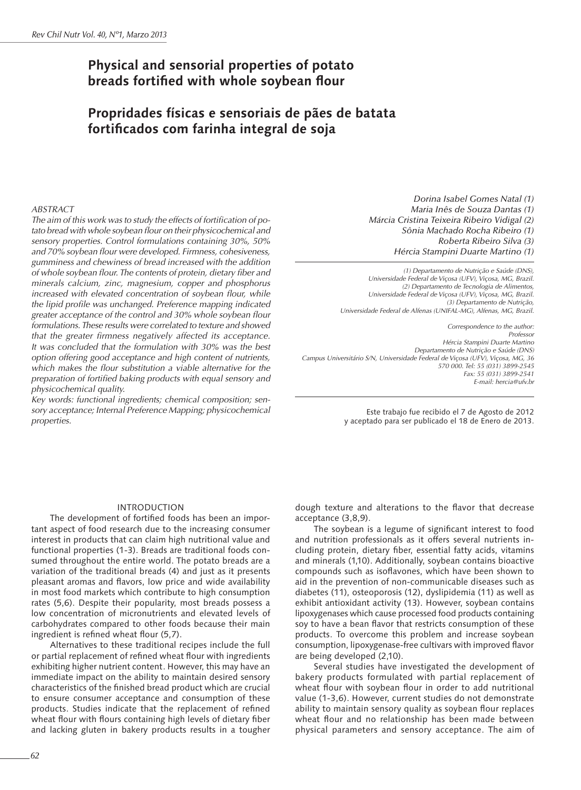# **Physical and sensorial properties of potato breads fortified with whole soybean flour**

# **Propridades físicas e sensoriais de pães de batata fortificados com farinha integral de soja**

## *ABSTRACT*

*The aim of this work was to study the effects of fortification of potato bread with whole soybean flour on their physicochemical and sensory properties. Control formulations containing 30%, 50% and 70% soybean flour were developed. Firmness, cohesiveness, gumminess and chewiness of bread increased with the addition of whole soybean flour. The contents of protein, dietary fiber and minerals calcium, zinc, magnesium, copper and phosphorus increased with elevated concentration of soybean flour, while the lipid profile was unchanged. Preference mapping indicated greater acceptance of the control and 30% whole soybean flour formulations. These results were correlated to texture and showed that the greater firmness negatively affected its acceptance. It was concluded that the formulation with 30% was the best option offering good acceptance and high content of nutrients, which makes the flour substitution a viable alternative for the preparation of fortified baking products with equal sensory and physicochemical quality.* 

*Key words: functional ingredients; chemical composition; sensory acceptance; Internal Preference Mapping; physicochemical properties.*

*Dorina Isabel Gomes Natal (1) Maria Inês de Souza Dantas (1) Márcia Cristina Teixeira Ribeiro Vidigal (2) Sônia Machado Rocha Ribeiro (1) Roberta Ribeiro Silva (3) Hércia Stampini Duarte Martino (1)*

*(1) Departamento de Nutrição e Saúde (DNS), Universidade Federal de Viçosa (UFV), Viçosa, MG, Brazil. (2) Departamento de Tecnologia de Alimentos, Universidade Federal de Viçosa (UFV), Viçosa, MG, Brazil. (3) Departamento de Nutrição, Universidade Federal de Alfenas (UNIFAL-MG), Alfenas, MG, Brazil.*

 *Correspondence to the author: Professor Hércia Stampini Duarte Martino Departamento de Nutrição e Saúde (DNS) Campus Universitário S/N, Universidade Federal de Viçosa (UFV), Viçosa, MG, 36 570 000. Tel: 55 (031) 3899-2545 Fax: 55 (031) 3899-2541 E-mail: hercia@ufv.br*

> Este trabajo fue recibido el 7 de Agosto de 2012 y aceptado para ser publicado el 18 de Enero de 2013.

### INTRODUCTION

The development of fortified foods has been an important aspect of food research due to the increasing consumer interest in products that can claim high nutritional value and functional properties (1-3). Breads are traditional foods consumed throughout the entire world. The potato breads are a variation of the traditional breads (4) and just as it presents pleasant aromas and flavors, low price and wide availability in most food markets which contribute to high consumption rates (5,6). Despite their popularity, most breads possess a low concentration of micronutrients and elevated levels of carbohydrates compared to other foods because their main ingredient is refined wheat flour (5,7).

Alternatives to these traditional recipes include the full or partial replacement of refined wheat flour with ingredients exhibiting higher nutrient content. However, this may have an immediate impact on the ability to maintain desired sensory characteristics of the finished bread product which are crucial to ensure consumer acceptance and consumption of these products. Studies indicate that the replacement of refined wheat flour with flours containing high levels of dietary fiber and lacking gluten in bakery products results in a tougher

dough texture and alterations to the flavor that decrease acceptance (3,8,9).

The soybean is a legume of significant interest to food and nutrition professionals as it offers several nutrients including protein, dietary fiber, essential fatty acids, vitamins and minerals (1,10). Additionally, soybean contains bioactive compounds such as isoflavones, which have been shown to aid in the prevention of non-communicable diseases such as diabetes (11), osteoporosis (12), dyslipidemia (11) as well as exhibit antioxidant activity (13). However, soybean contains lipoxygenases which cause processed food products containing soy to have a bean flavor that restricts consumption of these products. To overcome this problem and increase soybean consumption, lipoxygenase-free cultivars with improved flavor are being developed (2,10).

Several studies have investigated the development of bakery products formulated with partial replacement of wheat flour with soybean flour in order to add nutritional value (1-3,6). However, current studies do not demonstrate ability to maintain sensory quality as soybean flour replaces wheat flour and no relationship has been made between physical parameters and sensory acceptance. The aim of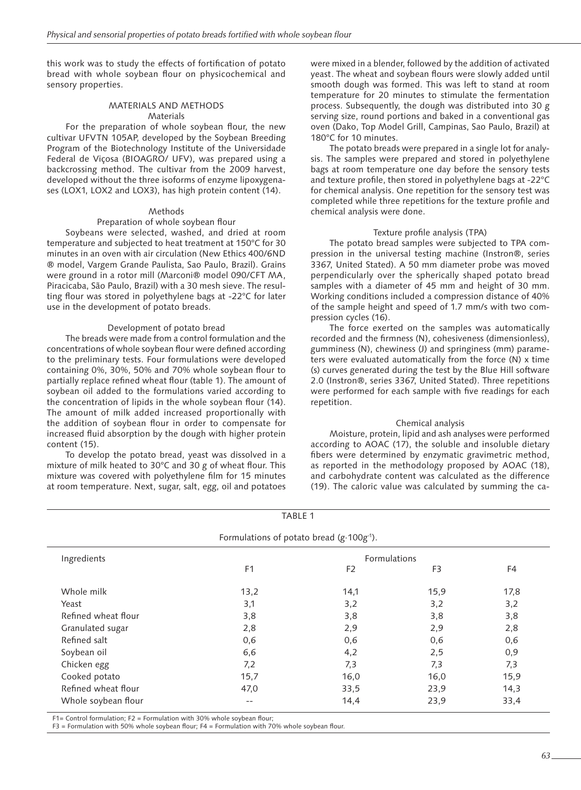this work was to study the effects of fortification of potato bread with whole soybean flour on physicochemical and sensory properties.

# MATERIALS AND METHODS **Materials**

For the preparation of whole soybean flour, the new cultivar UFVTN 105AP, developed by the Soybean Breeding Program of the Biotechnology Institute of the Universidade Federal de Viçosa (BIOAGRO/ UFV), was prepared using a backcrossing method. The cultivar from the 2009 harvest, developed without the three isoforms of enzyme lipoxygenases (LOX1, LOX2 and LOX3), has high protein content (14).

## Methods

## Preparation of whole soybean flour

Soybeans were selected, washed, and dried at room temperature and subjected to heat treatment at 150°C for 30 minutes in an oven with air circulation (New Ethics 400/6ND ® model, Vargem Grande Paulista, Sao Paulo, Brazil). Grains were ground in a rotor mill (Marconi® model 090/CFT MA, Piracicaba, São Paulo, Brazil) with a 30 mesh sieve. The resulting flour was stored in polyethylene bags at -22°C for later use in the development of potato breads.

# Development of potato bread

The breads were made from a control formulation and the concentrations of whole soybean flour were defined according to the preliminary tests. Four formulations were developed containing 0%, 30%, 50% and 70% whole soybean flour to partially replace refined wheat flour (table 1). The amount of soybean oil added to the formulations varied according to the concentration of lipids in the whole soybean flour (14). The amount of milk added increased proportionally with the addition of soybean flour in order to compensate for increased fluid absorption by the dough with higher protein content (15).

To develop the potato bread, yeast was dissolved in a mixture of milk heated to 30°C and 30 g of wheat flour. This mixture was covered with polyethylene film for 15 minutes at room temperature. Next, sugar, salt, egg, oil and potatoes were mixed in a blender, followed by the addition of activated yeast. The wheat and soybean flours were slowly added until smooth dough was formed. This was left to stand at room temperature for 20 minutes to stimulate the fermentation process. Subsequently, the dough was distributed into 30 g serving size, round portions and baked in a conventional gas oven (Dako, Top Model Grill, Campinas, Sao Paulo, Brazil) at 180°C for 10 minutes.

The potato breads were prepared in a single lot for analysis. The samples were prepared and stored in polyethylene bags at room temperature one day before the sensory tests and texture profile, then stored in polyethylene bags at -22°C for chemical analysis. One repetition for the sensory test was completed while three repetitions for the texture profile and chemical analysis were done.

## Texture profile analysis (TPA)

The potato bread samples were subjected to TPA compression in the universal testing machine (Instron®, series 3367, United Stated). A 50 mm diameter probe was moved perpendicularly over the spherically shaped potato bread samples with a diameter of 45 mm and height of 30 mm. Working conditions included a compression distance of 40% of the sample height and speed of 1.7 mm/s with two compression cycles (16).

The force exerted on the samples was automatically recorded and the firmness (N), cohesiveness (dimensionless), gumminess (N), chewiness (J) and springiness (mm) parameters were evaluated automatically from the force (N) x time (s) curves generated during the test by the Blue Hill software 2.0 (Instron®, series 3367, United Stated). Three repetitions were performed for each sample with five readings for each repetition.

# Chemical analysis

Moisture, protein, lipid and ash analyses were performed according to AOAC (17), the soluble and insoluble dietary fibers were determined by enzymatic gravimetric method, as reported in the methodology proposed by AOAC (18), and carbohydrate content was calculated as the difference (19). The caloric value was calculated by summing the ca-

|                                                       | TABLE 1        |                |      |      |  |  |
|-------------------------------------------------------|----------------|----------------|------|------|--|--|
| Formulations of potato bread ( $g \cdot 100g^{-1}$ ). |                |                |      |      |  |  |
| Ingredients                                           | Formulations   |                |      |      |  |  |
|                                                       | F <sub>1</sub> | F <sub>2</sub> | F3   | F4   |  |  |
| Whole milk                                            | 13,2           | 14,1           | 15,9 | 17,8 |  |  |
| Yeast                                                 | 3,1            | 3,2            | 3,2  | 3,2  |  |  |
| Refined wheat flour                                   | 3,8            | 3,8            | 3,8  | 3,8  |  |  |
| Granulated sugar                                      | 2,8            | 2,9            | 2,9  | 2,8  |  |  |
| Refined salt                                          | 0,6            | 0,6            | 0,6  | 0,6  |  |  |
| Soybean oil                                           | 6,6            | 4,2            | 2,5  | 0,9  |  |  |
| Chicken egg                                           | 7,2            | 7,3            | 7,3  | 7,3  |  |  |
| Cooked potato                                         | 15,7           | 16,0           | 16,0 | 15,9 |  |  |
| Refined wheat flour                                   | 47,0           | 33,5           | 23.9 | 14,3 |  |  |
| Whole soybean flour                                   | $- -$          | 14,4           | 23,9 | 33,4 |  |  |

 $F1=$  Control formulation;  $F2=$  Formulation with 30% whole soybean flour;

F3 = Formulation with 50% whole soybean flour; F4 = Formulation with 70% whole soybean flour.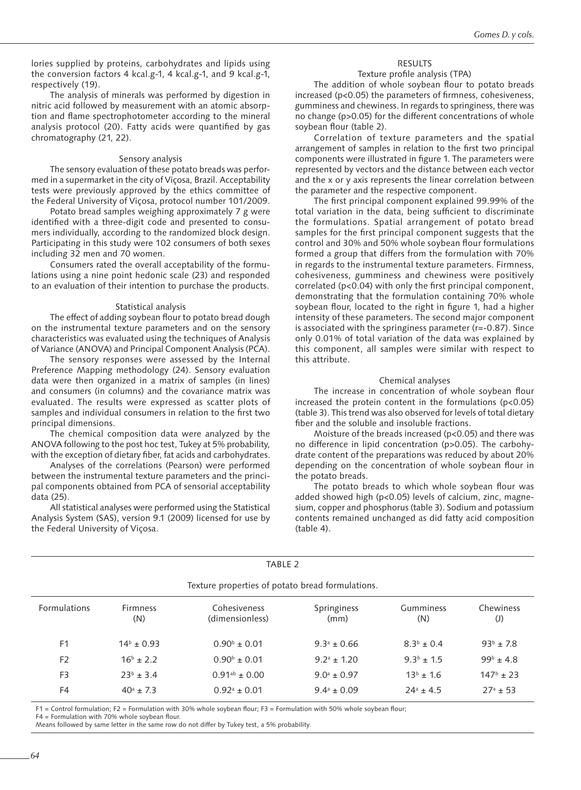lories supplied by proteins, carbohydrates and lipids using the conversion factors 4 kcal.g-1, 4 kcal.g-1, and 9 kcal.g-1, respectively (19).

The analysis of minerals was performed by digestion in nitric acid followed by measurement with an atomic absorption and flame spectrophotometer according to the mineral analysis protocol (20). Fatty acids were quantified by gas chromatography (21, 22).

#### Sensory analysis

The sensory evaluation of these potato breads was performed in a supermarket in the city of Viçosa, Brazil. Acceptability tests were previously approved by the ethics committee of the Federal University of Viçosa, protocol number 101/2009.

Potato bread samples weighing approximately 7 g were identified with a three-digit code and presented to consumers individually, according to the randomized block design. Participating in this study were 102 consumers of both sexes including 32 men and 70 women.

Consumers rated the overall acceptability of the formulations using a nine point hedonic scale (23) and responded to an evaluation of their intention to purchase the products.

#### Statistical analysis

The effect of adding soybean flour to potato bread dough on the instrumental texture parameters and on the sensory characteristics was evaluated using the techniques of Analysis of Variance (ANOVA) and Principal Component Analysis (PCA).

The sensory responses were assessed by the Internal Preference Mapping methodology (24). Sensory evaluation data were then organized in a matrix of samples (in lines) and consumers (in columns) and the covariance matrix was evaluated. The results were expressed as scatter plots of samples and individual consumers in relation to the first two principal dimensions.

The chemical composition data were analyzed by the ANOVA following to the post hoc test, Tukey at 5% probability, with the exception of dietary fiber, fat acids and carbohydrates.

Analyses of the correlations (Pearson) were performed between the instrumental texture parameters and the principal components obtained from PCA of sensorial acceptability data (25).

All statistical analyses were performed using the Statistical Analysis System (SAS), version 9.1 (2009) licensed for use by the Federal University of Viçosa.

#### RESULTS

## Texture profile analysis (TPA)

The addition of whole soybean flour to potato breads increased (p<0.05) the parameters of firmness, cohesiveness, gumminess and chewiness. In regards to springiness, there was no change (p>0.05) for the different concentrations of whole soybean flour (table 2).

Correlation of texture parameters and the spatial arrangement of samples in relation to the first two principal components were illustrated in figure 1. The parameters were represented by vectors and the distance between each vector and the x or y axis represents the linear correlation between the parameter and the respective component.

The first principal component explained 99.99% of the total variation in the data, being sufficient to discriminate the formulations. Spatial arrangement of potato bread samples for the first principal component suggests that the control and 30% and 50% whole soybean flour formulations formed a group that differs from the formulation with 70% in regards to the instrumental texture parameters. Firmness, cohesiveness, gumminess and chewiness were positively correlated (p<0.04) with only the first principal component, demonstrating that the formulation containing 70% whole soybean flour, located to the right in figure 1, had a higher intensity of these parameters. The second major component is associated with the springiness parameter (r=-0.87). Since only 0.01% of total variation of the data was explained by this component, all samples were similar with respect to this attribute.

#### Chemical analyses

The increase in concentration of whole soybean flour increased the protein content in the formulations (p<0.05) (table 3). This trend was also observed for levels of total dietary fiber and the soluble and insoluble fractions.

Moisture of the breads increased (p<0.05) and there was no difference in lipid concentration (p>0.05). The carbohydrate content of the preparations was reduced by about 20% depending on the concentration of whole soybean flour in the potato breads.

The potato breads to which whole soybean flour was added showed high (p<0.05) levels of calcium, zinc, magnesium, copper and phosphorus (table 3). Sodium and potassium contents remained unchanged as did fatty acid composition (table 4).

| TABLE 2                                          |                        |                                 |                     |                   |                    |  |  |  |
|--------------------------------------------------|------------------------|---------------------------------|---------------------|-------------------|--------------------|--|--|--|
| Texture properties of potato bread formulations. |                        |                                 |                     |                   |                    |  |  |  |
| Formulations                                     | <b>Firmness</b><br>(N) | Cohesiveness<br>(dimensionless) | Springiness<br>(mm) | Gumminess<br>(N)  | Chewiness<br>(J)   |  |  |  |
| F <sub>1</sub>                                   | $14^b \pm 0.93$        | $0.90^{\rm b} \pm 0.01$         | $9.3^a \pm 0.66$    | $8.3^{b} \pm 0.4$ | $93^{b} \pm 7.8$   |  |  |  |
| F <sub>2</sub>                                   | $16^b \pm 2.2$         | $0.90^{\circ} \pm 0.01$         | $9.2^a \pm 1.20$    | $9.3^b \pm 1.5$   | $99^{\rm b}$ ± 4.8 |  |  |  |
| F <sub>3</sub>                                   | $23^{b} \pm 3.4$       | $0.91^{ab} \pm 0.00$            | $9.0^a \pm 0.97$    | $13^{b} \pm 1.6$  | $147^{\circ}$ ± 23 |  |  |  |
| F4                                               | $40^a \pm 7.3$         | $0.92^a \pm 0.01$               | $9.4^a \pm 0.09$    | $24^a \pm 4.5$    | $27^a \pm 53$      |  |  |  |

F1 = Control formulation; F2 = Formulation with 30% whole soybean flour; F3 = Formulation with 50% whole soybean flour;

F4 = Formulation with 70% whole soybean flour.

Means followed by same letter in the same row do not differ by Tukey test, a 5% probability.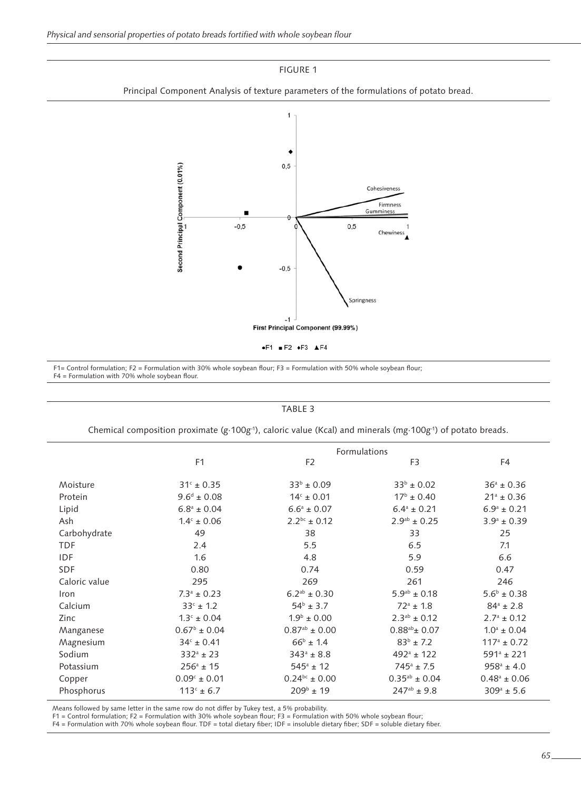FIGURE 1





F1= Control formulation; F2 = Formulation with 30% whole soybean flour; F3 = Formulation with 50% whole soybean flour; F4 = Formulation with 70% whole soybean flour.

### TABLE 3

Chemical composition proximate (g∙100g-1), caloric value (Kcal) and minerals (mg∙100g-1) of potato breads.

| Formulations            |                                                               |                                            |                                            |  |  |  |  |
|-------------------------|---------------------------------------------------------------|--------------------------------------------|--------------------------------------------|--|--|--|--|
| F <sub>1</sub>          | F <sub>2</sub>                                                | F3                                         | F <sub>4</sub>                             |  |  |  |  |
|                         |                                                               |                                            | $36^a \pm 0.36$                            |  |  |  |  |
|                         |                                                               |                                            |                                            |  |  |  |  |
|                         |                                                               |                                            | $21^a \pm 0.36$                            |  |  |  |  |
|                         | $6.6^a \pm 0.07$                                              | $6.4^a \pm 0.21$                           | $6.9^a \pm 0.21$                           |  |  |  |  |
| $1.4^c \pm 0.06$        | $2.2^{bc} \pm 0.12$                                           | $2.9^{ab} \pm 0.25$                        | $3.9^a \pm 0.39$                           |  |  |  |  |
| 49                      | 38                                                            | 33                                         | 25                                         |  |  |  |  |
| 2.4                     | 5.5                                                           | 6.5                                        | 7.1                                        |  |  |  |  |
| 1.6                     | 4.8                                                           | 5.9                                        | 6.6                                        |  |  |  |  |
| 0.80                    | 0.74                                                          | 0.59                                       | 0.47                                       |  |  |  |  |
| 295                     | 269                                                           | 261                                        | 246                                        |  |  |  |  |
| $7.3^a \pm 0.23$        | $6.2^{ab} \pm 0.30$                                           | $5.9^{ab} \pm 0.18$                        | $5.6^{\circ} \pm 0.38$                     |  |  |  |  |
| $33^{c}$ ± 1.2          | $54^{\circ} \pm 3.7$                                          | $72^a \pm 1.8$                             | $84^a \pm 2.8$                             |  |  |  |  |
| $1.3^c \pm 0.04$        | $1.9^{\rm b} \pm 0.00$                                        | $2.3^{ab} \pm 0.12$                        | $2.7^a \pm 0.12$                           |  |  |  |  |
| $0.67^{\rm b} \pm 0.04$ | $0.87^{ab} \pm 0.00$                                          | $0.88^{ab}$ ± 0.07                         | $1.0^a \pm 0.04$                           |  |  |  |  |
| $34c \pm 0.41$          | $66^{\rm b}$ ± 1.4                                            | $83^{b} \pm 7.2$                           | $117^a \pm 0.72$                           |  |  |  |  |
| $332^a \pm 23$          | $343^a \pm 8.8$                                               | $492^a \pm 122$                            | $591^a \pm 221$                            |  |  |  |  |
| $256^a \pm 15$          | $545^a \pm 12$                                                | $745^a \pm 7.5$                            | $958^a \pm 4.0$                            |  |  |  |  |
| $0.09^{\circ} \pm 0.01$ | $0.24^{bc} \pm 0.00$                                          | $0.35^{ab} \pm 0.04$                       | $0.48^a \pm 0.06$                          |  |  |  |  |
| $113c \pm 6.7$          | $209^{\rm b}$ ± 19                                            | $247^{ab} \pm 9.8$                         | $309^a \pm 5.6$                            |  |  |  |  |
|                         | $31^{\circ} \pm 0.35$<br>$9.6^d \pm 0.08$<br>$6.8^a \pm 0.04$ | $33^{b} \pm 0.09$<br>$14^{\circ} \pm 0.01$ | $33^{b} \pm 0.02$<br>$17^{\rm b} \pm 0.40$ |  |  |  |  |

Means followed by same letter in the same row do not differ by Tukey test, a 5% probability. F1 = Control formulation; F2 = Formulation with 30% whole soybean flour; F3 = Formulation with 50% whole soybean flour;

F4 = Formulation with 70% whole soybean flour. TDF = total dietary fiber; IDF = insoluble dietary fiber; SDF = soluble dietary fiber.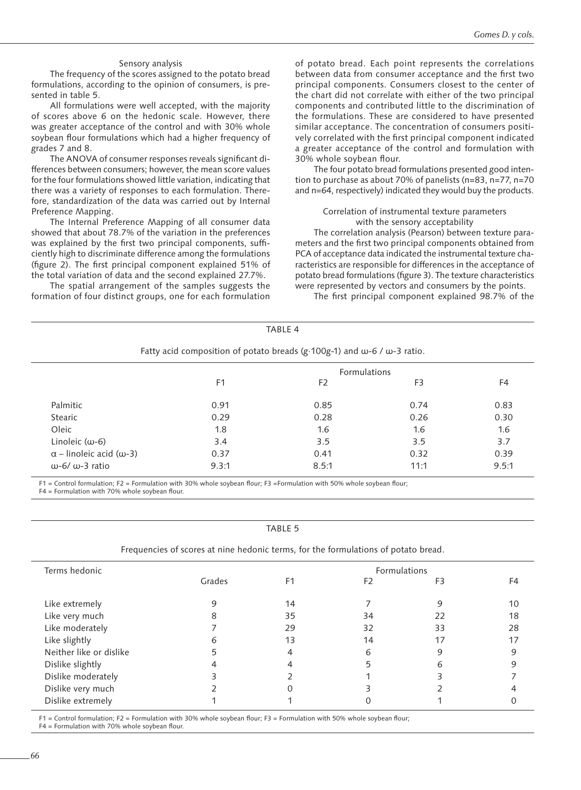#### Sensory analysis

The frequency of the scores assigned to the potato bread formulations, according to the opinion of consumers, is presented in table 5.

All formulations were well accepted, with the majority of scores above 6 on the hedonic scale. However, there was greater acceptance of the control and with 30% whole soybean flour formulations which had a higher frequency of grades 7 and 8.

The ANOVA of consumer responses reveals significant differences between consumers; however, the mean score values for the four formulations showed little variation, indicating that there was a variety of responses to each formulation. Therefore, standardization of the data was carried out by Internal Preference Mapping.

The Internal Preference Mapping of all consumer data showed that about 78.7% of the variation in the preferences was explained by the first two principal components, sufficiently high to discriminate difference among the formulations (figure 2). The first principal component explained 51% of the total variation of data and the second explained 27.7%.

The spatial arrangement of the samples suggests the formation of four distinct groups, one for each formulation of potato bread. Each point represents the correlations between data from consumer acceptance and the first two principal components. Consumers closest to the center of the chart did not correlate with either of the two principal components and contributed little to the discrimination of the formulations. These are considered to have presented similar acceptance. The concentration of consumers positively correlated with the first principal component indicated a greater acceptance of the control and formulation with 30% whole soybean flour.

The four potato bread formulations presented good intention to purchase as about 70% of panelists (n=83, n=77, n=70 and n=64, respectively) indicated they would buy the products.

#### Correlation of instrumental texture parameters with the sensory acceptability

The correlation analysis (Pearson) between texture parameters and the first two principal components obtained from PCA of acceptance data indicated the instrumental texture characteristics are responsible for differences in the acceptance of potato bread formulations (figure 3). The texture characteristics were represented by vectors and consumers by the points. The first principal component explained 98.7% of the

|                                                                                                 |                     | TABLE 4        |                |               |  |  |
|-------------------------------------------------------------------------------------------------|---------------------|----------------|----------------|---------------|--|--|
| Fatty acid composition of potato breads (g $\cdot$ 100g-1) and $\omega$ -6 / $\omega$ -3 ratio. |                     |                |                |               |  |  |
|                                                                                                 | <b>Formulations</b> |                |                |               |  |  |
|                                                                                                 | F <sub>1</sub>      | F <sub>2</sub> | F <sub>3</sub> | F4            |  |  |
| Palmitic                                                                                        | 0.91                | 0.85           | 0.74           | 0.83          |  |  |
| Stearic                                                                                         | 0.29                | 0.28           | 0.26           | 0.30          |  |  |
| Oleic                                                                                           | 1.8                 | 1.6            | 1.6            | $1.6^{\circ}$ |  |  |
| Linoleic $(\omega - 6)$                                                                         | 3.4                 | 3.5            | 3.5            | 3.7           |  |  |
| $\alpha$ – linoleic acid ( $\omega$ -3)                                                         | 0.37                | 0.41           | 0.32           | 0.39          |  |  |
| $(0.6/0.3$ ratio                                                                                | 9.3:1               | 8.5:1          | 11:1           | 9.5:1         |  |  |

F1 = Control formulation; F2 = Formulation with 30% whole soybean flour; F3 =Formulation with 50% whole soybean flour; F4 = Formulation with 70% whole soybean flour.

TABLE 5

| Frequencies of scores at nine hedonic terms, for the formulations of potato bread. |  |  |  |  |  |
|------------------------------------------------------------------------------------|--|--|--|--|--|
|                                                                                    |  |  |  |  |  |

| Terms hedonic           | Formulations |                |                |    |    |  |  |
|-------------------------|--------------|----------------|----------------|----|----|--|--|
|                         | Grades       | F <sub>1</sub> | F <sub>2</sub> | F3 | F4 |  |  |
| Like extremely          |              | 14             |                |    | 10 |  |  |
| Like very much          | 8            | 35             | 34             | 22 | 18 |  |  |
| Like moderately         |              | 29             | 32             | 33 | 28 |  |  |
| Like slightly           | 6            | 13             | 14             | 17 | 17 |  |  |
| Neither like or dislike |              |                | 6              | 9  |    |  |  |
| Dislike slightly        |              |                |                | 6  |    |  |  |
| Dislike moderately      |              |                |                |    |    |  |  |
| Dislike very much       |              |                |                |    |    |  |  |
| Dislike extremely       |              |                |                |    |    |  |  |
|                         |              |                |                |    |    |  |  |

F1 = Control formulation; F2 = Formulation with 30% whole soybean flour; F3 = Formulation with 50% whole soybean flour;

F4 = Formulation with 70% whole soybean flour.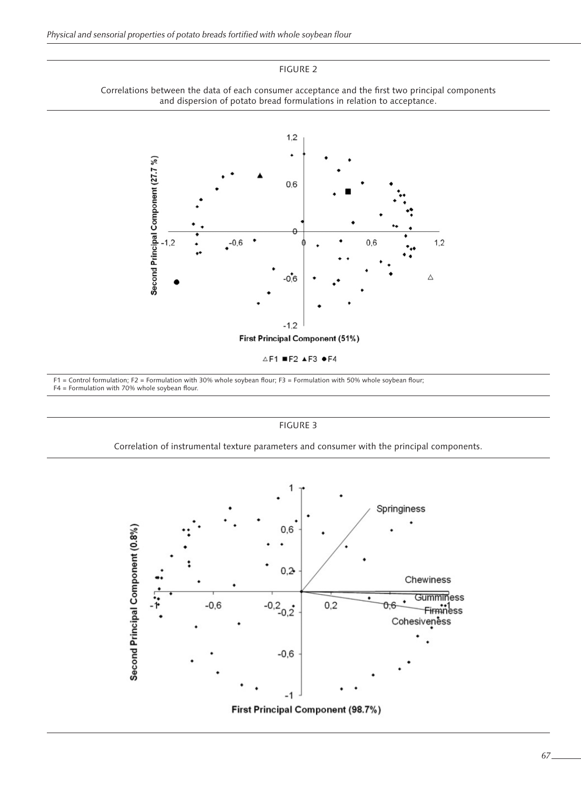FIGURE 2





 $\triangle$ F1 =F2  $\triangle$ F3  $\bullet$ F4

F1 = Control formulation; F2 = Formulation with 30% whole soybean flour; F3 = Formulation with 50% whole soybean flour; F4 = Formulation with 70% whole soybean flour.

FIGURE 3



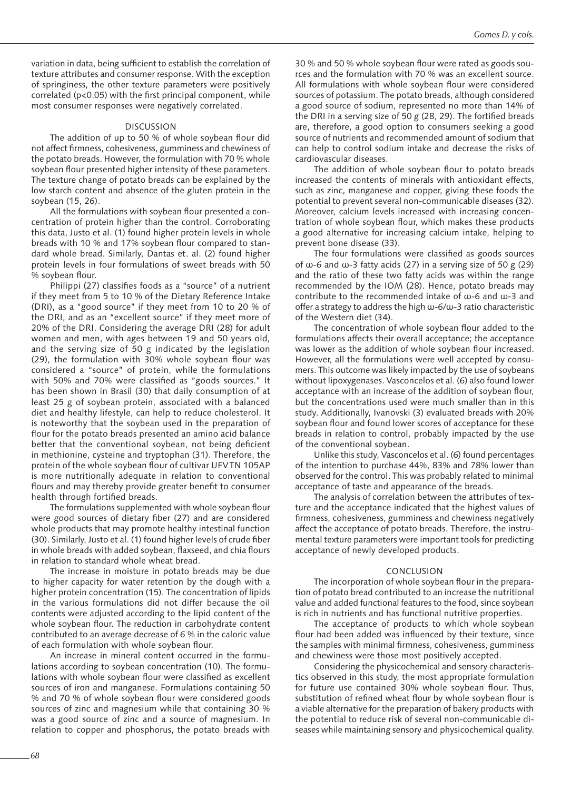variation in data, being sufficient to establish the correlation of texture attributes and consumer response. With the exception of springiness, the other texture parameters were positively correlated (p<0.05) with the first principal component, while most consumer responses were negatively correlated.

## DISCUSSION

The addition of up to 50 % of whole soybean flour did not affect firmness, cohesiveness, gumminess and chewiness of the potato breads. However, the formulation with 70 % whole soybean flour presented higher intensity of these parameters. The texture change of potato breads can be explained by the low starch content and absence of the gluten protein in the soybean (15, 26).

All the formulations with soybean flour presented a concentration of protein higher than the control. Corroborating this data, Justo et al. (1) found higher protein levels in whole breads with 10 % and 17% soybean flour compared to standard whole bread. Similarly, Dantas et. al. (2) found higher protein levels in four formulations of sweet breads with 50 % soybean flour.

Philippi (27) classifies foods as a "source" of a nutrient if they meet from 5 to 10 % of the Dietary Reference Intake (DRI), as a "good source" if they meet from 10 to 20 % of the DRI, and as an "excellent source" if they meet more of 20% of the DRI. Considering the average DRI (28) for adult women and men, with ages between 19 and 50 years old, and the serving size of 50 g indicated by the legislation (29), the formulation with 30% whole soybean flour was considered a "source" of protein, while the formulations with 50% and 70% were classified as "goods sources." It has been shown in Brasil (30) that daily consumption of at least 25 g of soybean protein, associated with a balanced diet and healthy lifestyle, can help to reduce cholesterol. It is noteworthy that the soybean used in the preparation of flour for the potato breads presented an amino acid balance better that the conventional soybean, not being deficient in methionine, cysteine and tryptophan (31). Therefore, the protein of the whole soybean flour of cultivar UFVTN 105AP is more nutritionally adequate in relation to conventional flours and may thereby provide greater benefit to consumer health through fortified breads.

The formulations supplemented with whole soybean flour were good sources of dietary fiber (27) and are considered whole products that may promote healthy intestinal function (30). Similarly, Justo et al. (1) found higher levels of crude fiber in whole breads with added soybean, flaxseed, and chia flours in relation to standard whole wheat bread.

The increase in moisture in potato breads may be due to higher capacity for water retention by the dough with a higher protein concentration (15). The concentration of lipids in the various formulations did not differ because the oil contents were adjusted according to the lipid content of the whole soybean flour. The reduction in carbohydrate content contributed to an average decrease of 6 % in the caloric value of each formulation with whole soybean flour.

An increase in mineral content occurred in the formulations according to soybean concentration (10). The formulations with whole soybean flour were classified as excellent sources of iron and manganese. Formulations containing 50 % and 70 % of whole soybean flour were considered goods sources of zinc and magnesium while that containing 30 % was a good source of zinc and a source of magnesium. In relation to copper and phosphorus, the potato breads with

30 % and 50 % whole soybean flour were rated as goods sources and the formulation with 70 % was an excellent source. All formulations with whole soybean flour were considered sources of potassium. The potato breads, although considered a good source of sodium, represented no more than 14% of the DRI in a serving size of 50 g (28, 29). The fortified breads are, therefore, a good option to consumers seeking a good source of nutrients and recommended amount of sodium that can help to control sodium intake and decrease the risks of cardiovascular diseases.

The addition of whole soybean flour to potato breads increased the contents of minerals with antioxidant effects, such as zinc, manganese and copper, giving these foods the potential to prevent several non-communicable diseases (32). Moreover, calcium levels increased with increasing concentration of whole soybean flour, which makes these products a good alternative for increasing calcium intake, helping to prevent bone disease (33).

The four formulations were classified as goods sources of ω-6 and ω-3 fatty acids (27) in a serving size of 50 g (29) and the ratio of these two fatty acids was within the range recommended by the IOM (28). Hence, potato breads may contribute to the recommended intake of ω-6 and ω-3 and offer a strategy to address the high ω-6/ω-3 ratio characteristic of the Western diet (34).

The concentration of whole soybean flour added to the formulations affects their overall acceptance; the acceptance was lower as the addition of whole soybean flour increased. However, all the formulations were well accepted by consumers. This outcome was likely impacted by the use of soybeans without lipoxygenases. Vasconcelos et al. (6) also found lower acceptance with an increase of the addition of soybean flour, but the concentrations used were much smaller than in this study. Additionally, Ivanovski (3) evaluated breads with 20% soybean flour and found lower scores of acceptance for these breads in relation to control, probably impacted by the use of the conventional soybean.

Unlike this study, Vasconcelos et al. (6) found percentages of the intention to purchase 44%, 83% and 78% lower than observed for the control. This was probably related to minimal acceptance of taste and appearance of the breads.

The analysis of correlation between the attributes of texture and the acceptance indicated that the highest values of firmness, cohesiveness, gumminess and chewiness negatively affect the acceptance of potato breads. Therefore, the instrumental texture parameters were important tools for predicting acceptance of newly developed products.

#### CONCLUSION

The incorporation of whole soybean flour in the preparation of potato bread contributed to an increase the nutritional value and added functional features to the food, since soybean is rich in nutrients and has functional nutritive properties.

The acceptance of products to which whole soybean flour had been added was influenced by their texture, since the samples with minimal firmness, cohesiveness, gumminess and chewiness were those most positively accepted.

Considering the physicochemical and sensory characteristics observed in this study, the most appropriate formulation for future use contained 30% whole soybean flour. Thus, substitution of refined wheat flour by whole soybean flour is a viable alternative for the preparation of bakery products with the potential to reduce risk of several non-communicable diseases while maintaining sensory and physicochemical quality.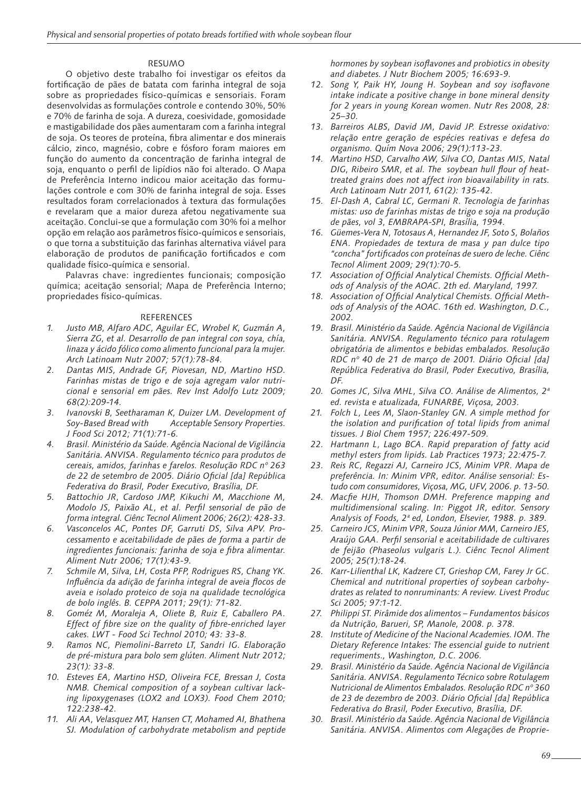## RESUMO

O objetivo deste trabalho foi investigar os efeitos da fortificação de pães de batata com farinha integral de soja sobre as propriedades físico-químicas e sensoriais. Foram desenvolvidas as formulações controle e contendo 30%, 50% e 70% de farinha de soja. A dureza, coesividade, gomosidade e mastigabilidade dos pães aumentaram com a farinha integral de soja. Os teores de proteína, fibra alimentar e dos minerais cálcio, zinco, magnésio, cobre e fósforo foram maiores em função do aumento da concentração de farinha integral de soja, enquanto o perfil de lipídios não foi alterado. O Mapa de Preferência Interno indicou maior aceitação das formulações controle e com 30% de farinha integral de soja. Esses resultados foram correlacionados à textura das formulações e revelaram que a maior dureza afetou negativamente sua aceitação. Conclui-se que a formulação com 30% foi a melhor opção em relação aos parâmetros físico-químicos e sensoriais, o que torna a substituição das farinhas alternativa viável para elaboração de produtos de panificação fortificados e com qualidade físico-química e sensorial.

Palavras chave: ingredientes funcionais; composição química; aceitação sensorial; Mapa de Preferência Interno; propriedades físico-químicas.

## REFERENCES

- *1. Justo MB, Alfaro ADC, Aguilar EC, Wrobel K, Guzmán A, Sierra ZG, et al. Desarrollo de pan integral con soya, chía, linaza y ácido fólico como alimento funcional para la mujer. Arch Latinoam Nutr 2007; 57(1):78-84.*
- *2. Dantas MIS, Andrade GF, Piovesan, ND, Martino HSD. Farinhas mistas de trigo e de soja agregam valor nutricional e sensorial em pães. Rev Inst Adolfo Lutz 2009; 68(2):209-14.*
- *3. Ivanovski B, Seetharaman K, Duizer LM. Development of Soy-Based Bread with Acceptable Sensory Properties. J Food Sci 2012; 71(1):71-6.*
- *4. Brasil. Ministério da Saúde. Agência Nacional de Vigilância Sanitária. ANVISA. Regulamento técnico para produtos de cereais, amidos, farinhas e farelos. Resolução RDC nº 263 de 22 de setembro de 2005. Diário Oficial [da] República Federativa do Brasil, Poder Executivo, Brasília, DF.*
- *5. Battochio JR, Cardoso JMP, Kikuchi M, Macchione M, Modolo JS, Paixão AL, et al. Perfil sensorial de pão de forma integral. Ciênc Tecnol Aliment 2006; 26(2): 428-33.*
- *6. Vasconcelos AC, Pontes DF, Garruti DS, Silva APV. Processamento e aceitabilidade de pães de forma a partir de ingredientes funcionais: farinha de soja e fibra alimentar. Aliment Nutr 2006; 17(1):43-9.*
- *7. Schmile M, Silva, LH, Costa PFP, Rodrigues RS, Chang YK. Influência da adição de farinha integral de aveia flocos de aveia e isolado proteico de soja na qualidade tecnológica de bolo inglês. B. CEPPA 2011; 29(1): 71-82.*
- *8. Goméz M, Moraleja A, Oliete B, Ruiz E, Caballero PA. Effect of fibre size on the quality of fibre-enriched layer cakes. LWT - Food Sci Technol 2010; 43: 33-8.*
- *9. Ramos NC, Piemolini-Barreto LT, Sandri IG. Elaboração de pré-mistura para bolo sem glúten. Aliment Nutr 2012; 23(1): 33-8.*
- *10. Esteves EA, Martino HSD, Oliveira FCE, Bressan J, Costa NMB. Chemical composition of a soybean cultivar lacking lipoxygenases (LOX2 and LOX3). Food Chem 2010; 122:238-42.*
- *11. Ali AA, Velasquez MT, Hansen CT, Mohamed AI, Bhathena SJ. Modulation of carbohydrate metabolism and peptide*

*hormones by soybean isoflavones and probiotics in obesity and diabetes. J Nutr Biochem 2005; 16:693-9.*

- *12. Song Y, Paik HY, Joung H. Soybean and soy isoflavone intake indicate a positive change in bone mineral density for 2 years in young Korean women. Nutr Res 2008, 28: 25–30.*
- *13. Barreiros ALBS, David JM, David JP. Estresse oxidativo: relação entre geração de espécies reativas e defesa do organismo. Quím Nova 2006; 29(1):113-23.*
- *14. Martino HSD, Carvalho AW, Silva CO, Dantas MIS, Natal DIG, Ribeiro SMR, et al. The soybean hull flour of heattreated grains does not affect iron bioavailability in rats. Arch Latinoam Nutr 2011, 61(2): 135-42.*
- *15. El-Dash A, Cabral LC, Germani R. Tecnologia de farinhas mistas: uso de farinhas mistas de trigo e soja na produção de pães, vol 3, EMBRAPA-SPI, Brasília, 1994.*
- *16. Güemes-Vera N, Totosaus A, Hernandez JF, Soto S, Bolaños ENA. Propiedades de textura de masa y pan dulce tipo "concha" fortificados con proteínas de suero de leche. Ciênc Tecnol Aliment 2009; 29(1):70-5.*
- *17. Association of Official Analytical Chemists. Official Methods of Analysis of the AOAC. 2th ed. Maryland, 1997.*
- *18. Association of Official Analytical Chemists. Official Methods of Analysis of the AOAC. 16th ed. Washington, D.C., 2002.*
- *19. Brasil. Ministério da Saúde. Agência Nacional de Vigilância Sanitária. ANVISA. Regulamento técnico para rotulagem obrigatória de alimentos e bebidas embalados. Resolução RDC nº 40 de 21 de março de 2001. Diário Oficial [da] República Federativa do Brasil, Poder Executivo, Brasília, DF.*
- *20. Gomes JC, Silva MHL, Silva CO. Análise de Alimentos, 2ª ed. revista e atualizada, FUNARBE, Viçosa, 2003.*
- *21. Folch L, Lees M, Slaon-Stanley GN. A simple method for the isolation and purification of total lipids from animal tissues. J Biol Chem 1957; 226:497-509.*
- *22. Hartmann L, Lago BCA. Rapid preparation of fatty acid methyl esters from lipids. Lab Practices 1973; 22:475-7.*
- *23. Reis RC, Regazzi AJ, Carneiro JCS, Minim VPR. Mapa de preferência. In: Minim VPR, editor. Análise sensorial: Estudo com consumidores, Viçosa, MG, UFV, 2006. p. 13-50.*
- *24. Macfie HJH, Thomson DMH. Preference mapping and multidimensional scaling. In: Piggot JR, editor. Sensory Analysis of Foods, 2ª ed, London, Elsevier, 1988. p. 389.*
- *25. Carneiro JCS, Minim VPR, Souza Júnior MM, Carneiro JES, Araújo GAA. Perfil sensorial e aceitabilidade de cultivares de feijão (Phaseolus vulgaris L.). Ciênc Tecnol Aliment 2005; 25(1):18-24.*
- *26. Karr-Lilienthal LK, Kadzere CT, Grieshop CM, Farey Jr GC. Chemical and nutritional properties of soybean carbohydrates as related to nonruminants: A review. Livest Produc Sci 2005; 97:1-12.*
- *27. Philippi ST. Pirâmide dos alimentos Fundamentos básicos da Nutrição, Barueri, SP, Manole, 2008. p. 378.*
- *28. Institute of Medicine of the Nacional Academies. IOM. The Dietary Reference Intakes: The essencial guide to nutrient requeriments., Washington, D.C. 2006.*
- *29. Brasil. Ministério da Saúde. Agência Nacional de Vigilância Sanitária. ANVISA. Regulamento Técnico sobre Rotulagem Nutricional de Alimentos Embalados. Resolução RDC nº 360 de 23 de dezembro de 2003. Diário Oficial [da] República Federativa do Brasil, Poder Executivo, Brasília, DF.*
- *30. Brasil. Ministério da Saúde. Agência Nacional de Vigilância Sanitária. ANVISA. Alimentos com Alegações de Proprie-*